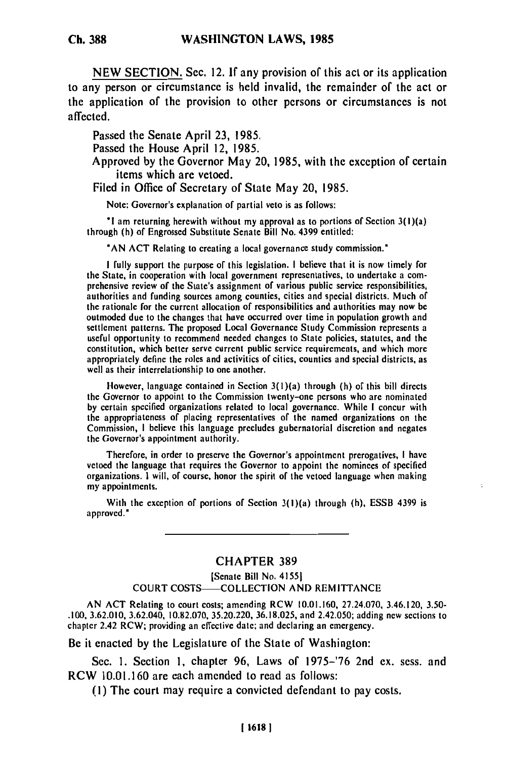**NEW SECTION. Sec.** 12. **If any provision** of this act or its application to any person or circumstance is held invalid, the remainder of the act or the application of the provision to other persons or circumstances is not affected.

Passed the Senate April **23, 1985.**

Passed the House April 12, **1985.**

Approved **by** the Governor May 20, **1985,** with the exception of certain items which are vetoed.

Filed in Office of Secretary of State May 20, **1985.**

Note: Governor's explanation of partial veto is as follows:

**"I** am returning herewith without my approval as to portions of Section 3(l)(a) through (h) of Engrossed Substitute Senate Bill No. 4399 entitled:

**"AN ACT** Relating to creating a local governance study commission.'

**I** fully support the purpose of this legislation. **I** believe that it is now timely for the Support the purpose of this legislation. The State it is now timely for<br>the State in cooperation with local government representatives, to undertake a comne State, in cooperation with local government representatives, to undertake a comprehensive review of the State's assignment of various public service responsibilities, authorities and funding sources among counties, cities and special districts. Much of the rationale for the current allocation of responsibilities and authorities may now be outmoded due to the changes that have occurred over time in population growth and outmoded due to the changes that have occurred over time in population growth and setuement patterns. The proposed Local Governance Study Commission represents a useful opportunity to recommend needed changes to State policies, statutes, and the constitution, which better serve current public service requirements, and which more constitution, which better serve current public service requirements, and which more appropriately define the foles and activities of

However, language contained in Section 3(l)(a) through (h) of this bill directs Thowever, tanguage contained in Section  $s(1)(a)$  through  $(n)$  of this bill directs **by** certain specified organizations related to local governance. While **I** concur with the appropriatences of placing related to local governance. While I concur with Inc appropriateness of placing representatives of the named organizations on the Commission, I believe this language precludes gubernatorial discretion and negates the Governor's appointment authority.

Therefore, in order to preserve the Governor's appointment prerogatives, **I** have I nerefore, in order to preserve the Governor's appointment prerogatives, I have veloca the language that requires the Governor to appoint the nominees of specifico organizations. I will, of course, honor the spirit of the vetoed language when making my appointments.

With the exception of portions of Section 3(l)(a) through (h), **ESSB** 4399 is approved.'

## **CHAPTER 389**

[Senate Bill No. 41551 COURT COSTS- COLLECTION AND REMITTANCE

AN ACT Relating to court costs; amending RCW 10.01.160, 27.24.070, 3.46.120, 3.50- AIN AUT RELATING TO COULT COSIS; AMERICING RUW TO UT TOO, 27.24.070, 3.46.120, 3.50-<br>200, 3.62.010, 3.62.040, 10.82.070, 36.200, 36.18.025, and 3.42.050; adding new sections to chapter 2.42 RCW; providing an effective data send declaring and 2.42.050; and declare and declare and declaring and  $\epsilon$ .

Be it enacted by the Legislature of the State of Washington:

Sec. **1.** Section 1, chapter 96, Laws of 1975-'76 2nd ex. sess. and RCW 10.01.160 are each amended to read as follows:

(I) The court may require a convicted defendant to pay costs.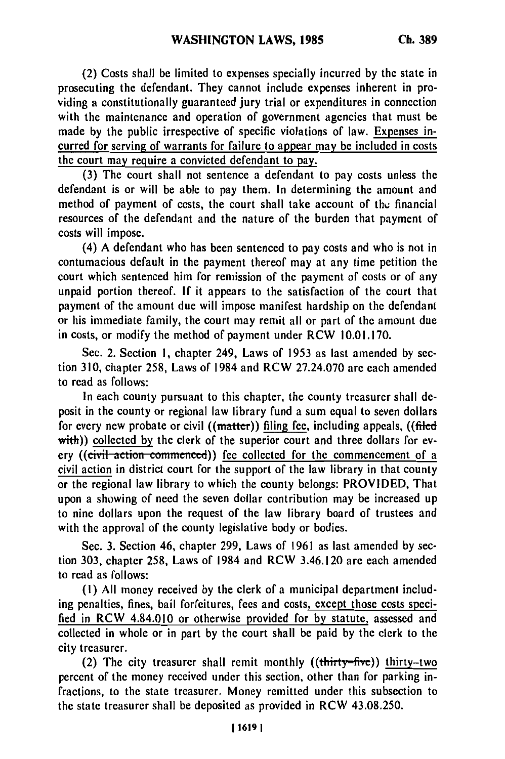(2) Costs shall be limited to expenses specially incurred **by** the state in prosecuting the defendant. They cannot include expenses inherent in providing a constitutionally guaranteed jury trial or expenditures in connection with the maintenance and operation of government agencies that must be made by the public irrespective of specific violations of law. Expenses incurred for serving of warrants for failure to appear may be included in costs the court may require a convicted defendant to pay.

(3) The court shall not sentence a defendant to pay costs unless the defendant is or will be able to pay them. In determining the amount and method of payment of costs, the court shall take account of thu financial resources of the defendant and the nature of the burden that payment of costs will impose.

(4) A defendant who has been sentenced to pay costs and who is not in contumacious default in the payment thereof may at any time petition the court which sentenced him for remission of the payment of costs or of any unpaid portion thereof. **If** it appears to the satisfaction of the court that payment of the amount due will impose manifest hardship on the defendant or his immediate family, the court may remit all or part of the amount due in costs, or modify the method of payment under RCW 10.01.170.

Sec. 2. Section 1, chapter 249, Laws of 1953 as last amended by section 310, chapter 258, Laws of 1984 and RCW 27.24.070 are each amended to read as follows:

In each county pursuant to this chapter, the county treasurer shall **de**posit in the county or regional law library fund a sum equal to seven dollars for every new probate or civil ((matter)) filing fee, including appeals, ((filed with)) collected by the clerk of the superior court and three dollars for every ((civil action commenced)) fee collected for the commencement of a civil action in district court for the support of the law library in that county or the regional law library to which the county belongs: PROVIDED, That upon a showing of need the seven dollar contribution may be increased up to nine dollars upon the request of the law library board of trustees and with the approval of the county legislative body or bodies.

Sec. 3. Section 46, chapter 299, Laws of 1961 as last amended by section 303, chapter 258, Laws of 1984 and RCW 3.46.120 are each amended to read as follows:

**(1)** All money received by the clerk of a municipal department including penalties, fines, bail forfeitures, fees and costs, except those costs speci**fied** in RCW 4.84.010 or otherwise provided for by statute, assessed and collected in whole or in part by the court shall be paid by the clerk to the city treasurer.

(2) The city treasurer shall remit monthly  $((\text{thirty-five}))$  thirty-two percent of the money received under this section, other than for parking infractions, to the state treasurer. Money remitted under this subsection to the state treasurer shall be deposited as provided in RCW 43.08.250.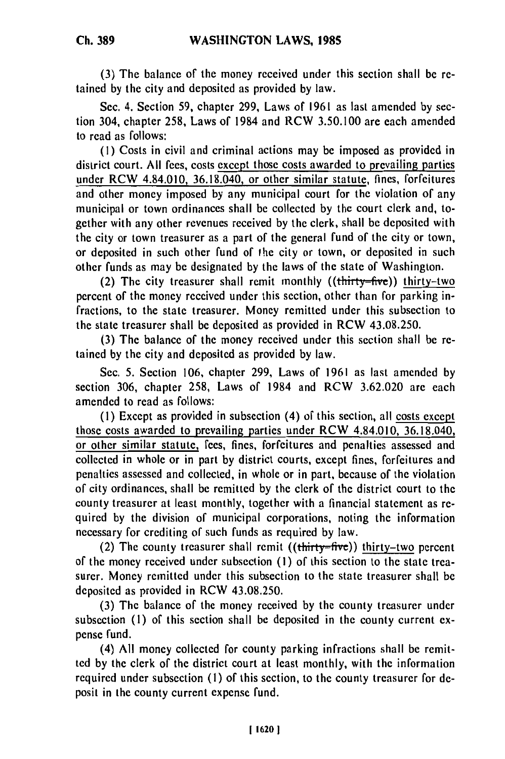**(3)** The balance of the money received under this section shall be retained by the city and deposited as provided by law.

Sec. 4. Section 59, chapter 299, Laws of 1961 as last amended by section 304, chapter 258, Laws of 1984 and RCW 3.50.100 are each amended to read as follows:

**(1)** Costs in civil and criminal actions may be imposed as provided in district court. All fees, costs except those costs awarded to prevailing parties under RCW 4.84.010, 36.18.040, or other similar statute, fines, forfeitures and other money imposed by any municipal court for the violation of any municipal or town ordinances shall be collected by the court clerk and, together with any other revenues received by the clerk, shall be deposited with the city or town treasurer as a part of the general fund of the city or town, or deposited in such other fund of the city or town, or deposited in such other funds as may be designated by the laws of the state of Washington.

(2) The city treasurer shall remit monthly  $((**thirty-five**))$  thirty-two percent of the money received under this section, other than for parking infractions, to the state treasurer. Money remitted under this subsection to the state treasurer shall be deposited as provided in RCW 43.08.250.

(3) The balance of the money received under this section shall be retained by the city and deposited as provided by law.

Sec. 5. Section 106, chapter 299, Laws of 1961 as last amended by section 306, chapter 258, Laws of 1984 and RCW 3.62.020 are each amended to read as follows:

(I) Except as provided in subsection (4) of this section, all costs except those costs awarded to prevailing parties under RCW 4.84.010, 36.18.040, or other similar statute, fees, fines, forfeitures and penalties assessed and collected in whole or in part by district courts, except fines, forfeitures and penalties assessed and collected, in whole or in part, because of the violation of city ordinances, shall be remitted by the clerk of the district court to the county treasurer at least monthly, together with a financial statement as required by the division of municipal corporations, noting the information necessary for crediting of such funds as required by law.

(2) The county treasurer shall remit  $((\text{thirty}=\text{five}))$  thirty-two percent of the money received under subsection (I) of this section to the state treasurer. Money remitted under this subsection to the state treasurer shall be deposited as provided in RCW 43.08.250.

(3) The balance of the money received by the county treasurer under subsection (1) of this section shall be deposited in the county current expense fund.

(4) All money collected for county parking infractions shall be remitted by the clerk of the district court at least monthly, with the information required under subsection **(1)** of this section, to the county treasurer for deposit in the county current expense fund.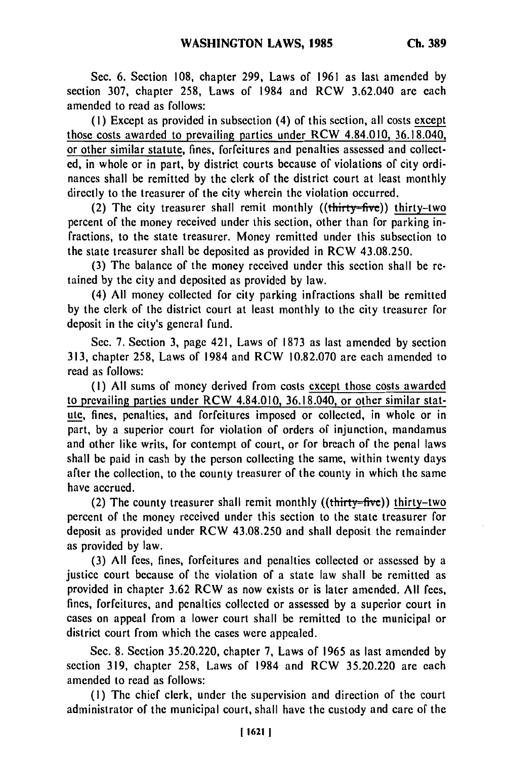Sec. **6.** Section **108,** chapter 299, Laws of 1961 as last amended **by** section 307, chapter 258, Laws of 1984 and RCW 3.62.040 are each amended to read as follows:

**(1)** Except as provided in subsection (4) of this section, all costs except those costs awarded to prevailing parties under RCW 4.84.010, 36.18.040, or other similar statute, fines, forfeitures and penalties assessed and collected, in whole or in part, by district courts because of violations of city ordinances shall be remitted by the clerk of the district court at least monthly directly to the treasurer of the city wherein the violation occurred.

(2) The city treasurer shall remit monthly  $((\text{thirty=five}))$  thirty-two percent of the money received under this section, other than for parking infractions, to the state treasurer. Money remitted under this subsection to the state treasurer shall **be** deposited as provided in RCW 43.08.250.

(3) The balance of the money received under this section shall be retained by the city and deposited as provided by law.

(4) All money collected for city parking infractions shall be remitted by the clerk of the district court at least monthly to the city treasurer for deposit in the city's general fund.

Sec. 7. Section 3, page 421, Laws of 1873 as last amended by section 313, chapter 258, Laws of 1984 and RCW 10.82.070 are each amended to read as follows:

(I) All sums of money derived from costs except those costs awarded to prevailing parties under RCW 4.84.010, 36.18.040, or other similar statute, fines, penalties, and forfeitures imposed or collected, in whole or in part, by a superior court for violation of orders of injunction, mandamus and other like writs, for contempt of court, or for breach of the penal laws shall be paid in cash by the person collecting the same, within twenty days after the collection, to the county treasurer of the county in which the same have accrued.

(2) The county treasurer shall remit monthly  $((**thirty-five**))$  thirty-two percent of the money received under this section to the state treasurer for deposit as provided under RCW 43.08.250 and shall deposit the remainder as provided by law.

(3) All fees, fines, forfeitures and penalties collected or assessed by a justice court because of the violation of a state law shall be remitted as provided in chapter 3.62 RCW as now exists or is later amended. All fees, fines, forfeitures, and penalties collected or assessed by a superior court in cases on appeal from a lower court shall be remitted to the municipal or district court from which the cases were appealed.

Sec. 8. Section 35.20.220, chapter 7, Laws of 1965 as last amended by section 319, chapter 258, Laws of 1984 and RCW 35.20.220 are each amended to read as follows:

(I) The chief clerk, under the supervision and direction of the court administrator of the municipal court, shall have the custody and care of the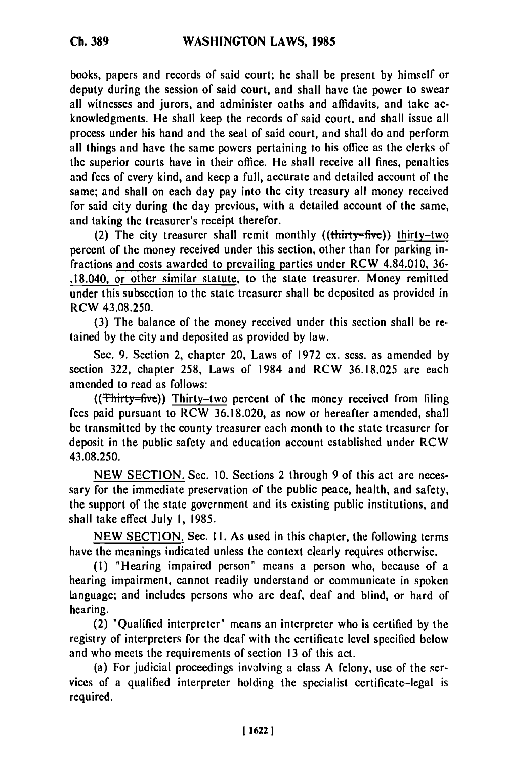books, papers and records of said court; he shall **be** present **by** himself or deputy during the session of said court, and shall have the power to swear all witnesses and jurors, and administer oaths and affidavits, and take acknowledgments. He shall keep the records of said court, and shall issue all process under his hand and the seal of said court, and shall do and perform all things and have the same powers pertaining to his office as the clerks of the superior courts have in their office. He shall receive all fines, penalties and fees of every kind, and keep a full, accurate and detailed account of the same; and shall on each day pay into the city treasury all money received for said city during the day previous, with a detailed account of the same, and taking the treasurer's receipt therefor.

(2) The city treasurer shall remit monthly  $((**thirtv=fwe**))$  thirty-two percent of the money received under this section, other than for parking infractions and costs awarded to prevailing parties under RCW 4.84.010, **36-** .18.040, or other similar statute, to the state treasurer. Money remitted under this subsection to the state treasurer shall be deposited as provided in RCW **43.08.250.**

**(3)** The balance of the money received under this section shall be retained **by** the city and deposited as provided **by** law.

Sec. **9.** Section 2, chapter 20, Laws of **1972 ex.** sess. as amended **by** section **322,** chapter **258,** Laws of 1984 and RCW **36.18.025** are each amended to read as follows:

 $((Thirty=fwe))$  Thirty-two percent of the money received from filing fees paid pursuant to RCW **36.18.020,** as now or hereafter amended, shall be transmitted **by** the county treasurer each month to the state treasurer for deposit in the public safety and education account established under RCW **43.08.250.**

**NEW SECTION.** Sec. **10.** Sections 2 through **9** of this act are necessary for the immediate preservation of the public peace, health, and safety, the support of the state government and its existing public institutions, and shall take effect July **I, 1985.**

**NEW SECTION.** Sec. **11.** As used in this chapter, the following terms have the meanings indicated unless the context clearly requires otherwise.

**(1)** "Hearing impaired person" means a person who, because of a hearing impairment, cannot readily understand or communicate in spoken language; and includes persons who are deaf, deaf and blind, or hard of hearing.

(2) "Qualified interpreter" means an interpreter who is certified **by** the registry of interpreters for the deaf with the certificate level specified below and who meets the requirements of section **13** of this act.

(a) For judicial proceedings involving a class **A** felony, use of the services of a qualified interpreter holding the specialist certificate-legal is required.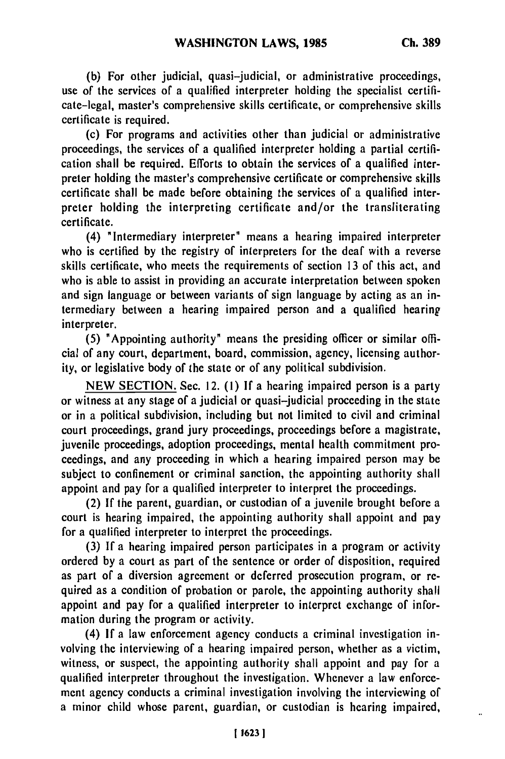**(b)** For other judicial, quasi-judicial, or administrative proceedings, use of the services of a qualified interpreter holding the specialist certificate-legal, master's comprehensive skills certificate, or comprehensive skills certificate is required.

(c) For programs and activities other than judicial or administrative proceedings, the services of a qualified interpreter holding a partial certification shall be required. Efforts to obtain the services of a qualified interpreter holding the master's comprehensive certificate or comprehensive skills certificate shall be made before obtaining the services of a qualified interpreter holding the interpreting certificate and/or the transliterating certificate.

(4) "Intermediary interpreter" means a hearing impaired interpreter who is certified by the registry of interpreters for the deaf with a reverse skills certificate, who meets the requirements of section 13 of this act, and who is able to assist in providing an accurate interpretation between spoken and sign language or between variants of sign language by acting as an intermediary between a hearing impaired person and a qualified hearing interpreter.

**(5)** "Appointing authority" means the presiding officer or similar official of any court, department, board, commission, agency, licensing authority, or legislative body of the state or of any political subdivision.

NEW SECTION. Sec. 12. (1) If a hearing impaired person is a party or witness at any stage of a judicial or quasi-judicial proceeding in the state or in a political subdivision, including but not limited to civil and criminal court proceedings, grand jury proceedings, proceedings before a magistrate, juvenile proceedings, adoption proceedings, mental health commitment proceedings, and any proceeding in which a hearing impaired person may be subject to confinement or criminal sanction, the appointing authority shall appoint and pay for a qualified interpreter to interpret the proceedings.

(2) If the parent, guardian, or custodian of a juvenile brought before a court is hearing impaired, the appointing authority shall appoint and pay for a qualified interpreter to interpret the proceedings.

(3) If a hearing impaired person participates in a program or activity ordered by a court as part of the sentence or order of disposition, required as part of a diversion agreement or deferred prosecution program, or required as a condition of probation or parole, the appointing authority shall appoint and pay for a qualified interpreter to interpret exchange of information during the program or activity.

(4) If a law enforcement agency conducts a criminal investigation involving the interviewing of a hearing impaired person, whether as a victim, witness, or suspect, the appointing authority shall appoint and pay for a qualified interpreter throughout the investigation. Whenever a law enforcement agency conducts a criminal investigation involving the interviewing of a minor child whose parent, guardian, or custodian is hearing impaired,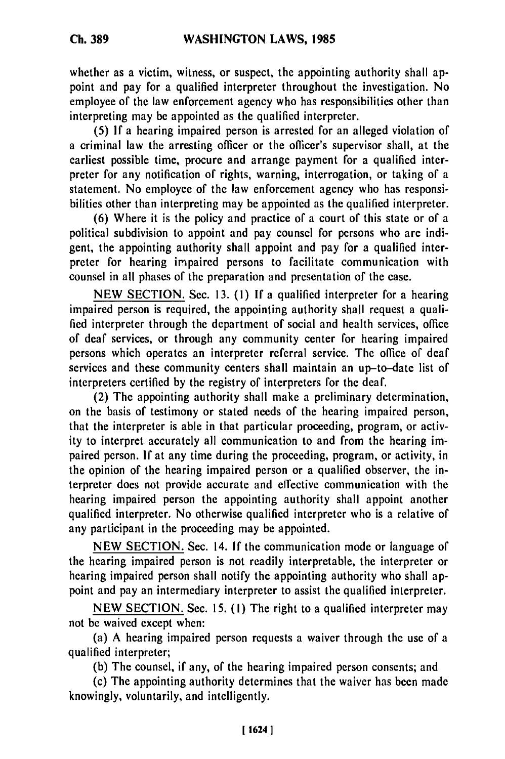**Ch. 389**

whether as a victim, witness, or suspect, the appointing authority shall appoint and pay for a qualified interpreter throughout the investigation. No employee of the law enforcement agency who has responsibilities other than interpreting may be appointed as the qualified interpreter.

(5) If a hearing impaired person is arrested for an alleged violation of a criminal law the arresting officer or the officer's supervisor shall, at the earliest possible time, procure and arrange payment for a qualified interpreter for any notification of rights, warning, interrogation, or taking of a statement. No employee of the law enforcement agency who has responsibilities other than interpreting may be appointed as the qualified interpreter.

(6) Where it is the policy and practice of a court of this state or of a political subdivision to appoint and pay counsel for persons who are indigent, the appointing authority shall appoint and pay for a qualified interpreter for hearing impaired persons to facilitate communication with counsel in all phases of the preparation and presentation of the case.

NEW SECTION. Sec. 13. **(1)** If a qualified interpreter for a hearing impaired person is required, the appointing authority shall request a qualified interpreter through the department of social and health services, office of deaf services, or through any community center for hearing impaired persons which operates an interpreter referral service. The office of deaf services and these community centers shall maintain an up-to-date list of interpreters certified by the registry of interpreters for the deaf.

(2) The appointing authority shall make a preliminary determination, on the basis of testimony or stated needs of the hearing impaired person, that the interpreter is able in that particular proceeding, program, or activity to interpret accurately all communication to and from the hearing impaired person. If at any time during the proceeding, program, or activity, in the opinion of the hearing impaired person or a qualified observer, the interpreter does not provide accurate and effective communication with the hearing impaired person the appointing authority shall appoint another qualified interpreter. No otherwise qualified interpreter who is a relative of any participant in the proceeding may be appointed.

NEW SECTION. Sec. 14. If the communication mode or language of the hearing impaired person is not readily interpretable, the interpreter or hearing impaired person shall notify the appointing authority who shall appoint and pay an intermediary interpreter to assist the qualified interpreter.

NEW SECTION. Sec. 15. **(1)** The right to a qualified interpreter may not be waived except when:

(a) A hearing impaired person requests a waiver through the use of a qualified interpreter;

(b) The counsel, if any, of the hearing impaired person consents; and

(c) The appointing authority determines that the waiver has been made knowingly, voluntarily, and intelligently.